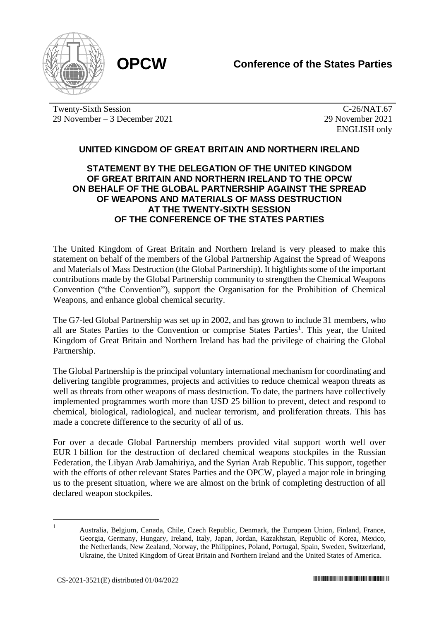

Twenty-Sixth Session 29 November – 3 December 2021

C-26/NAT.67 29 November 2021 ENGLISH only

## **UNITED KINGDOM OF GREAT BRITAIN AND NORTHERN IRELAND**

## **STATEMENT BY THE DELEGATION OF THE UNITED KINGDOM OF GREAT BRITAIN AND NORTHERN IRELAND TO THE OPCW ON BEHALF OF THE GLOBAL PARTNERSHIP AGAINST THE SPREAD OF WEAPONS AND MATERIALS OF MASS DESTRUCTION AT THE TWENTY-SIXTH SESSION OF THE CONFERENCE OF THE STATES PARTIES**

The United Kingdom of Great Britain and Northern Ireland is very pleased to make this statement on behalf of the members of the Global Partnership Against the Spread of Weapons and Materials of Mass Destruction (the Global Partnership). It highlights some of the important contributions made by the Global Partnership community to strengthen the Chemical Weapons Convention ("the Convention"), support the Organisation for the Prohibition of Chemical Weapons, and enhance global chemical security.

The G7-led Global Partnership was set up in 2002, and has grown to include 31 members, who all are States Parties to the Convention or comprise States Parties<sup>1</sup>. This year, the United Kingdom of Great Britain and Northern Ireland has had the privilege of chairing the Global Partnership.

The Global Partnership is the principal voluntary international mechanism for coordinating and delivering tangible programmes, projects and activities to reduce chemical weapon threats as well as threats from other weapons of mass destruction. To date, the partners have collectively implemented programmes worth more than USD 25 billion to prevent, detect and respond to chemical, biological, radiological, and nuclear terrorism, and proliferation threats. This has made a concrete difference to the security of all of us.

For over a decade Global Partnership members provided vital support worth well over EUR 1 billion for the destruction of declared chemical weapons stockpiles in the Russian Federation, the Libyan Arab Jamahiriya, and the Syrian Arab Republic. This support, together with the efforts of other relevant States Parties and the OPCW, played a major role in bringing us to the present situation, where we are almost on the brink of completing destruction of all declared weapon stockpiles.

<sup>1</sup> Australia, Belgium, Canada, Chile, Czech Republic, Denmark, the European Union, Finland, France, Georgia, Germany, Hungary, Ireland, Italy, Japan, Jordan, Kazakhstan, Republic of Korea, Mexico, the Netherlands, New Zealand, Norway, the Philippines, Poland, Portugal, Spain, Sweden, Switzerland, Ukraine, the United Kingdom of Great Britain and Northern Ireland and the United States of America.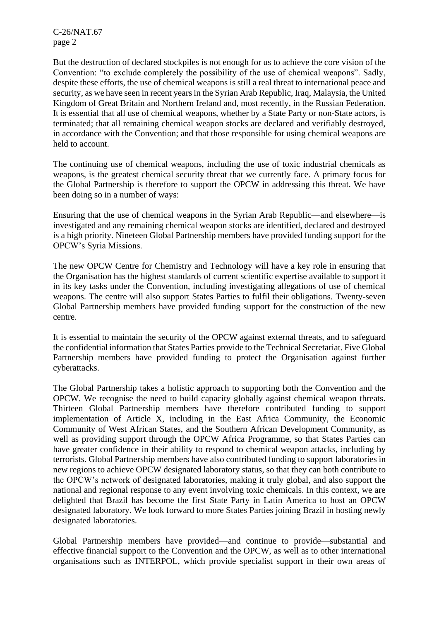C-26/NAT.67 page 2

But the destruction of declared stockpiles is not enough for us to achieve the core vision of the Convention: "to exclude completely the possibility of the use of chemical weapons". Sadly, despite these efforts, the use of chemical weapons is still a real threat to international peace and security, as we have seen in recent years in the Syrian Arab Republic, Iraq, Malaysia, the United Kingdom of Great Britain and Northern Ireland and, most recently, in the Russian Federation. It is essential that all use of chemical weapons, whether by a State Party or non-State actors, is terminated; that all remaining chemical weapon stocks are declared and verifiably destroyed, in accordance with the Convention; and that those responsible for using chemical weapons are held to account.

The continuing use of chemical weapons, including the use of toxic industrial chemicals as weapons, is the greatest chemical security threat that we currently face. A primary focus for the Global Partnership is therefore to support the OPCW in addressing this threat. We have been doing so in a number of ways:

Ensuring that the use of chemical weapons in the Syrian Arab Republic—and elsewhere—is investigated and any remaining chemical weapon stocks are identified, declared and destroyed is a high priority. Nineteen Global Partnership members have provided funding support for the OPCW's Syria Missions.

The new OPCW Centre for Chemistry and Technology will have a key role in ensuring that the Organisation has the highest standards of current scientific expertise available to support it in its key tasks under the Convention, including investigating allegations of use of chemical weapons. The centre will also support States Parties to fulfil their obligations. Twenty-seven Global Partnership members have provided funding support for the construction of the new centre.

It is essential to maintain the security of the OPCW against external threats, and to safeguard the confidential information that States Parties provide to the Technical Secretariat. Five Global Partnership members have provided funding to protect the Organisation against further cyberattacks.

The Global Partnership takes a holistic approach to supporting both the Convention and the OPCW. We recognise the need to build capacity globally against chemical weapon threats. Thirteen Global Partnership members have therefore contributed funding to support implementation of Article X, including in the East Africa Community, the Economic Community of West African States, and the Southern African Development Community, as well as providing support through the OPCW Africa Programme, so that States Parties can have greater confidence in their ability to respond to chemical weapon attacks, including by terrorists. Global Partnership members have also contributed funding to support laboratories in new regions to achieve OPCW designated laboratory status, so that they can both contribute to the OPCW's network of designated laboratories, making it truly global, and also support the national and regional response to any event involving toxic chemicals. In this context, we are delighted that Brazil has become the first State Party in Latin America to host an OPCW designated laboratory. We look forward to more States Parties joining Brazil in hosting newly designated laboratories.

Global Partnership members have provided—and continue to provide—substantial and effective financial support to the Convention and the OPCW, as well as to other international organisations such as INTERPOL, which provide specialist support in their own areas of